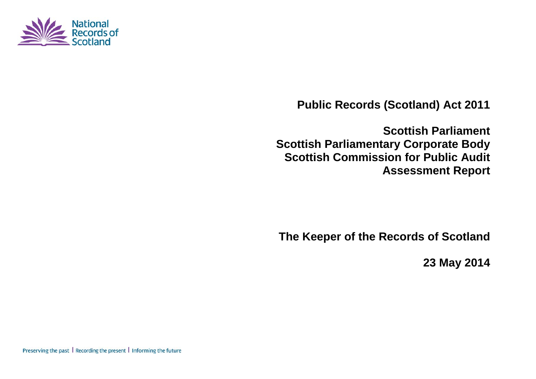

**Public Records (Scotland) Act 2011**

**Scottish Parliament Scottish Parliamentary Corporate Body Scottish Commission for Public Audit Assessment Report**

**The Keeper of the Records of Scotland**

**23 May 2014**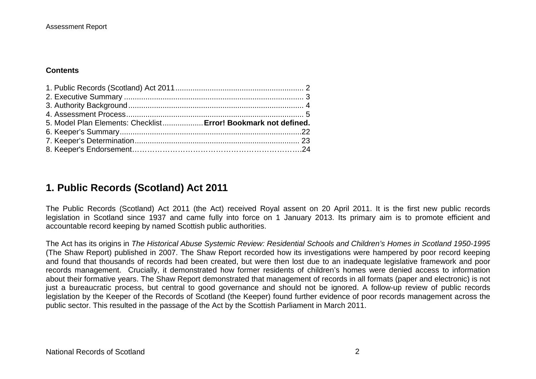#### **Contents**

| 5. Model Plan Elements: Checklist Error! Bookmark not defined. |  |
|----------------------------------------------------------------|--|
|                                                                |  |
|                                                                |  |

## **1. Public Records (Scotland) Act 2011**

The Public Records (Scotland) Act 2011 (the Act) received Royal assent on 20 April 2011. It is the first new public records legislation in Scotland since 1937 and came fully into force on 1 January 2013. Its primary aim is to promote efficient and accountable record keeping by named Scottish public authorities.

The Act has its origins in *The Historical Abuse Systemic Review: Residential Schools and Children's Homes in Scotland 1950-1995* (The Shaw Report) published in 2007. The Shaw Report recorded how its investigations were hampered by poor record keeping and found that thousands of records had been created, but were then lost due to an inadequate legislative framework and poor records management. Crucially, it demonstrated how former residents of children's homes were denied access to information about their formative years. The Shaw Report demonstrated that management of records in all formats (paper and electronic) is not just a bureaucratic process, but central to good governance and should not be ignored. A follow-up review of public records legislation by the Keeper of the Records of Scotland (the Keeper) found further evidence of poor records management across the public sector. This resulted in the passage of the Act by the Scottish Parliament in March 2011.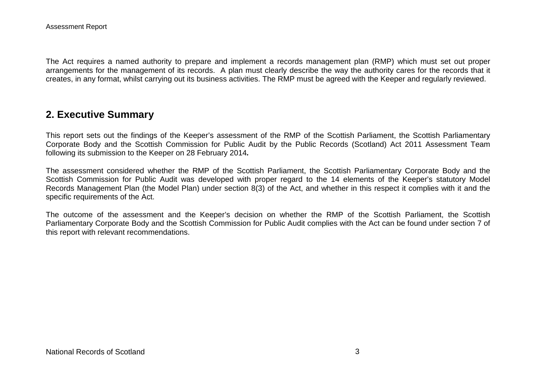The Act requires a named authority to prepare and implement a records management plan (RMP) which must set out proper arrangements for the management of its records. A plan must clearly describe the way the authority cares for the records that it creates, in any format, whilst carrying out its business activities. The RMP must be agreed with the Keeper and regularly reviewed.

### **2. Executive Summary**

This report sets out the findings of the Keeper's assessment of the RMP of the Scottish Parliament, the Scottish Parliamentary Corporate Body and the Scottish Commission for Public Audit by the Public Records (Scotland) Act 2011 Assessment Team following its submission to the Keeper on 28 February 2014*.*

The assessment considered whether the RMP of the Scottish Parliament, the Scottish Parliamentary Corporate Body and the Scottish Commission for Public Audit was developed with proper regard to the 14 elements of the Keeper's statutory Model Records Management Plan (the Model Plan) under section 8(3) of the Act, and whether in this respect it complies with it and the specific requirements of the Act.

The outcome of the assessment and the Keeper's decision on whether the RMP of the Scottish Parliament, the Scottish Parliamentary Corporate Body and the Scottish Commission for Public Audit complies with the Act can be found under section 7 of this report with relevant recommendations.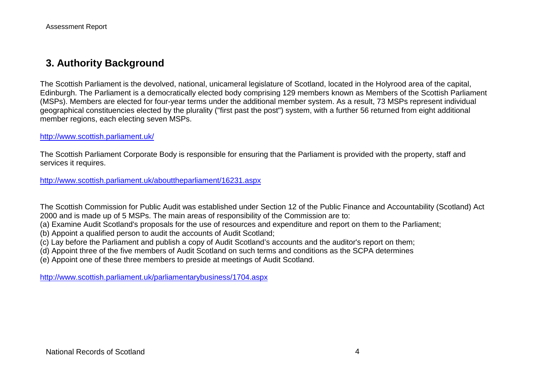## **3. Authority Background**

The Scottish Parliament is the devolved, national, unicameral legislature of Scotland, located in the Holyrood area of the capital, Edinburgh. The Parliament is a democratically elected body comprising 129 members known as Members of the Scottish Parliament (MSPs). Members are elected for four-year terms under the additional member system. As a result, 73 MSPs represent individual geographical constituencies elected by the plurality ("first past the post") system, with a further 56 returned from eight additional member regions, each electing seven MSPs.

<http://www.scottish.parliament.uk/>

The Scottish Parliament Corporate Body is responsible for ensuring that the Parliament is provided with the property, staff and services it requires.

<http://www.scottish.parliament.uk/abouttheparliament/16231.aspx>

The Scottish Commission for Public Audit was established under Section 12 of the Public Finance and Accountability (Scotland) Act 2000 and is made up of 5 MSPs. The main areas of responsibility of the Commission are to:

(a) Examine Audit Scotland's proposals for the use of resources and expenditure and report on them to the Parliament;

(b) Appoint a qualified person to audit the accounts of Audit Scotland;

(c) Lay before the Parliament and publish a copy of Audit Scotland's accounts and the auditor's report on them;

(d) Appoint three of the five members of Audit Scotland on such terms and conditions as the SCPA determines

(e) Appoint one of these three members to preside at meetings of Audit Scotland.

<http://www.scottish.parliament.uk/parliamentarybusiness/1704.aspx>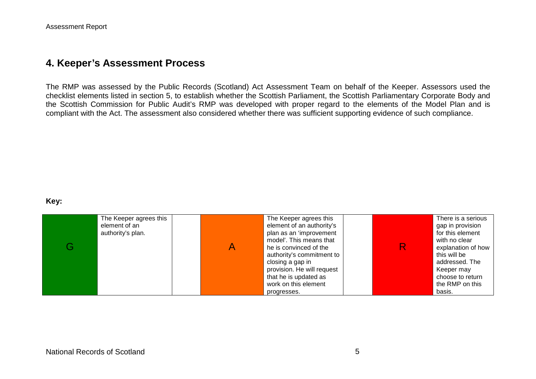### **4. Keeper's Assessment Process**

The RMP was assessed by the Public Records (Scotland) Act Assessment Team on behalf of the Keeper. Assessors used the checklist elements listed in section 5, to establish whether the Scottish Parliament, the Scottish Parliamentary Corporate Body and the Scottish Commission for Public Audit's RMP was developed with proper regard to the elements of the Model Plan and is compliant with the Act. The assessment also considered whether there was sufficient supporting evidence of such compliance.

#### **Key:**

| The Keeper agrees this<br>element of an<br>authority's plan. | The Keeper agrees this<br>element of an authority's<br>plan as an 'improvement<br>model'. This means that<br>he is convinced of the<br>authority's commitment to<br>closing a gap in<br>provision. He will request<br>that he is updated as<br>work on this element<br>progresses. |  | There is a serious<br>gap in provision<br>for this element<br>with no clear<br>explanation of how<br>this will be<br>addressed. The<br>Keeper may<br>choose to return<br>the RMP on this<br>basis. |
|--------------------------------------------------------------|------------------------------------------------------------------------------------------------------------------------------------------------------------------------------------------------------------------------------------------------------------------------------------|--|----------------------------------------------------------------------------------------------------------------------------------------------------------------------------------------------------|
|--------------------------------------------------------------|------------------------------------------------------------------------------------------------------------------------------------------------------------------------------------------------------------------------------------------------------------------------------------|--|----------------------------------------------------------------------------------------------------------------------------------------------------------------------------------------------------|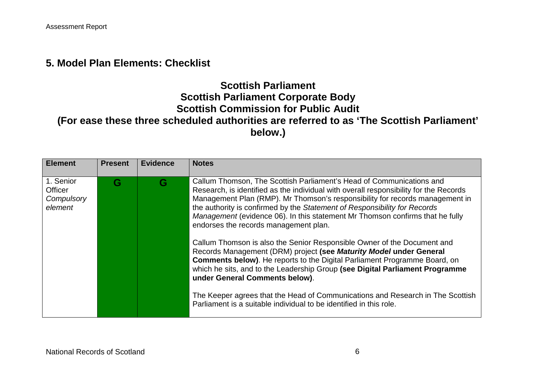### **5. Model Plan Elements: Checklist**

# **Scottish Parliament Scottish Parliament Corporate Body Scottish Commission for Public Audit (For ease these three scheduled authorities are referred to as 'The Scottish Parliament' below.)**

| <b>Element</b>                                | <b>Present</b> | <b>Evidence</b> | <b>Notes</b>                                                                                                                                                                                                                                                                                                                                                                                                                                                                                                                                                                                                                                                                                                                                                                                                                                                                                                                                                         |
|-----------------------------------------------|----------------|-----------------|----------------------------------------------------------------------------------------------------------------------------------------------------------------------------------------------------------------------------------------------------------------------------------------------------------------------------------------------------------------------------------------------------------------------------------------------------------------------------------------------------------------------------------------------------------------------------------------------------------------------------------------------------------------------------------------------------------------------------------------------------------------------------------------------------------------------------------------------------------------------------------------------------------------------------------------------------------------------|
| 1. Senior<br>Officer<br>Compulsory<br>element | G              | G               | Callum Thomson, The Scottish Parliament's Head of Communications and<br>Research, is identified as the individual with overall responsibility for the Records<br>Management Plan (RMP). Mr Thomson's responsibility for records management in<br>the authority is confirmed by the Statement of Responsibility for Records<br>Management (evidence 06). In this statement Mr Thomson confirms that he fully<br>endorses the records management plan.<br>Callum Thomson is also the Senior Responsible Owner of the Document and<br>Records Management (DRM) project (see Maturity Model under General<br><b>Comments below)</b> . He reports to the Digital Parliament Programme Board, on<br>which he sits, and to the Leadership Group (see Digital Parliament Programme<br>under General Comments below).<br>The Keeper agrees that the Head of Communications and Research in The Scottish<br>Parliament is a suitable individual to be identified in this role. |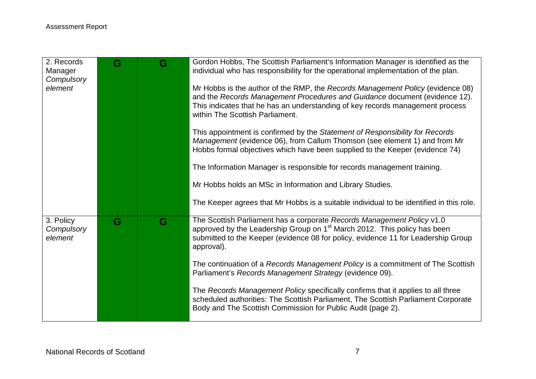| 2. Records<br>Manager<br>Compulsory<br>element | G | G | Gordon Hobbs, The Scottish Parliament's Information Manager is identified as the<br>individual who has responsibility for the operational implementation of the plan.<br>Mr Hobbs is the author of the RMP, the Records Management Policy (evidence 08)<br>and the Records Management Procedures and Guidance document (evidence 12).<br>This indicates that he has an understanding of key records management process<br>within The Scottish Parliament.<br>This appointment is confirmed by the Statement of Responsibility for Records<br>Management (evidence 06), from Callum Thomson (see element 1) and from Mr                                  |
|------------------------------------------------|---|---|---------------------------------------------------------------------------------------------------------------------------------------------------------------------------------------------------------------------------------------------------------------------------------------------------------------------------------------------------------------------------------------------------------------------------------------------------------------------------------------------------------------------------------------------------------------------------------------------------------------------------------------------------------|
|                                                |   |   | Hobbs formal objectives which have been supplied to the Keeper (evidence 74)<br>The Information Manager is responsible for records management training.<br>Mr Hobbs holds an MSc in Information and Library Studies.<br>The Keeper agrees that Mr Hobbs is a suitable individual to be identified in this role.                                                                                                                                                                                                                                                                                                                                         |
| 3. Policy<br>Compulsory<br>element             | G | G | The Scottish Parliament has a corporate Records Management Policy v1.0<br>approved by the Leadership Group on 1 <sup>st</sup> March 2012. This policy has been<br>submitted to the Keeper (evidence 08 for policy, evidence 11 for Leadership Group<br>approval).<br>The continuation of a Records Management Policy is a commitment of The Scottish<br>Parliament's Records Management Strategy (evidence 09).<br>The Records Management Policy specifically confirms that it applies to all three<br>scheduled authorities: The Scottish Parliament, The Scottish Parliament Corporate<br>Body and The Scottish Commission for Public Audit (page 2). |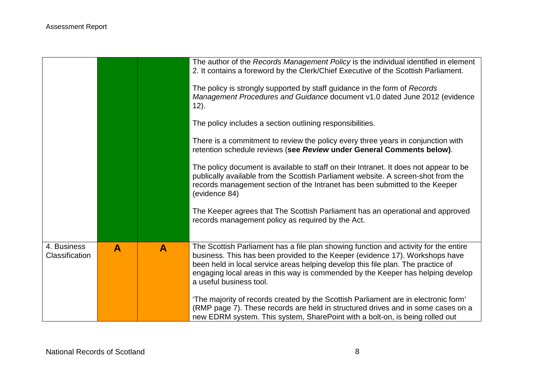|                                      |              |              | The author of the Records Management Policy is the individual identified in element<br>2. It contains a foreword by the Clerk/Chief Executive of the Scottish Parliament.<br>The policy is strongly supported by staff guidance in the form of Records<br>Management Procedures and Guidance document v1.0 dated June 2012 (evidence<br>12).<br>The policy includes a section outlining responsibilities.<br>There is a commitment to review the policy every three years in conjunction with<br>retention schedule reviews (see Review under General Comments below).<br>The policy document is available to staff on their Intranet. It does not appear to be<br>publically available from the Scottish Parliament website. A screen-shot from the<br>records management section of the Intranet has been submitted to the Keeper<br>(evidence 84)<br>The Keeper agrees that The Scottish Parliament has an operational and approved<br>records management policy as required by the Act. |
|--------------------------------------|--------------|--------------|---------------------------------------------------------------------------------------------------------------------------------------------------------------------------------------------------------------------------------------------------------------------------------------------------------------------------------------------------------------------------------------------------------------------------------------------------------------------------------------------------------------------------------------------------------------------------------------------------------------------------------------------------------------------------------------------------------------------------------------------------------------------------------------------------------------------------------------------------------------------------------------------------------------------------------------------------------------------------------------------|
|                                      |              |              |                                                                                                                                                                                                                                                                                                                                                                                                                                                                                                                                                                                                                                                                                                                                                                                                                                                                                                                                                                                             |
| 4. Business<br><b>Classification</b> | $\mathbf{A}$ | $\mathbf{A}$ | The Scottish Parliament has a file plan showing function and activity for the entire<br>business. This has been provided to the Keeper (evidence 17). Workshops have<br>been held in local service areas helping develop this file plan. The practice of<br>engaging local areas in this way is commended by the Keeper has helping develop<br>a useful business tool.<br>'The majority of records created by the Scottish Parliament are in electronic form'<br>(RMP page 7). These records are held in structured drives and in some cases on a<br>new EDRM system. This system, SharePoint with a bolt-on, is being rolled out                                                                                                                                                                                                                                                                                                                                                           |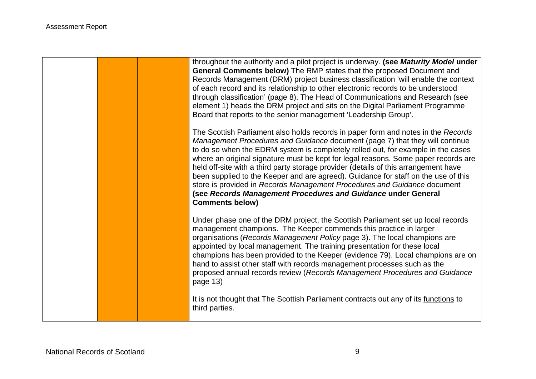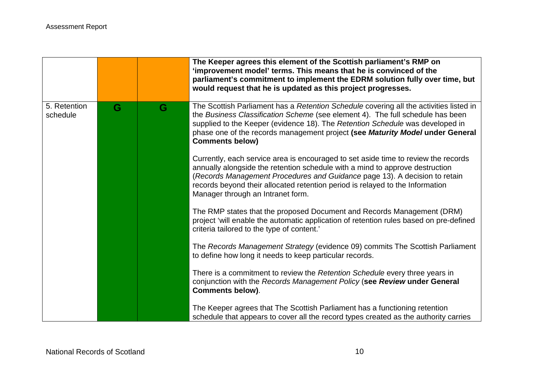|                          |   |   | The Keeper agrees this element of the Scottish parliament's RMP on<br>'improvement model' terms. This means that he is convinced of the<br>parliament's commitment to implement the EDRM solution fully over time, but                                                                                                                                                 |
|--------------------------|---|---|------------------------------------------------------------------------------------------------------------------------------------------------------------------------------------------------------------------------------------------------------------------------------------------------------------------------------------------------------------------------|
|                          |   |   | would request that he is updated as this project progresses.                                                                                                                                                                                                                                                                                                           |
| 5. Retention<br>schedule | G | G | The Scottish Parliament has a Retention Schedule covering all the activities listed in<br>the Business Classification Scheme (see element 4). The full schedule has been<br>supplied to the Keeper (evidence 18). The Retention Schedule was developed in<br>phase one of the records management project (see Maturity Model under General<br><b>Comments below)</b>   |
|                          |   |   | Currently, each service area is encouraged to set aside time to review the records<br>annually alongside the retention schedule with a mind to approve destruction<br>(Records Management Procedures and Guidance page 13). A decision to retain<br>records beyond their allocated retention period is relayed to the Information<br>Manager through an Intranet form. |
|                          |   |   | The RMP states that the proposed Document and Records Management (DRM)<br>project 'will enable the automatic application of retention rules based on pre-defined<br>criteria tailored to the type of content.'                                                                                                                                                         |
|                          |   |   | The Records Management Strategy (evidence 09) commits The Scottish Parliament<br>to define how long it needs to keep particular records.                                                                                                                                                                                                                               |
|                          |   |   | There is a commitment to review the Retention Schedule every three years in<br>conjunction with the Records Management Policy (see Review under General<br><b>Comments below).</b>                                                                                                                                                                                     |
|                          |   |   | The Keeper agrees that The Scottish Parliament has a functioning retention<br>schedule that appears to cover all the record types created as the authority carries                                                                                                                                                                                                     |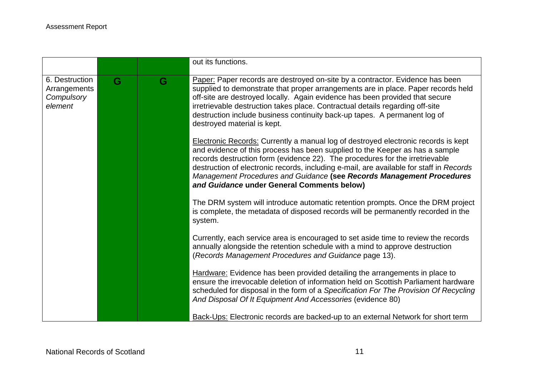|                                                         |   |   | out its functions.                                                                                                                                                                                                                                                                                                                                                                                                                                                          |
|---------------------------------------------------------|---|---|-----------------------------------------------------------------------------------------------------------------------------------------------------------------------------------------------------------------------------------------------------------------------------------------------------------------------------------------------------------------------------------------------------------------------------------------------------------------------------|
| 6. Destruction<br>Arrangements<br>Compulsory<br>element | G | G | Paper: Paper records are destroyed on-site by a contractor. Evidence has been<br>supplied to demonstrate that proper arrangements are in place. Paper records held<br>off-site are destroyed locally. Again evidence has been provided that secure<br>irretrievable destruction takes place. Contractual details regarding off-site<br>destruction include business continuity back-up tapes. A permanent log of<br>destroyed material is kept.                             |
|                                                         |   |   | <b>Electronic Records:</b> Currently a manual log of destroyed electronic records is kept<br>and evidence of this process has been supplied to the Keeper as has a sample<br>records destruction form (evidence 22). The procedures for the irretrievable<br>destruction of electronic records, including e-mail, are available for staff in Records<br>Management Procedures and Guidance (see Records Management Procedures<br>and Guidance under General Comments below) |
|                                                         |   |   | The DRM system will introduce automatic retention prompts. Once the DRM project<br>is complete, the metadata of disposed records will be permanently recorded in the<br>system.                                                                                                                                                                                                                                                                                             |
|                                                         |   |   | Currently, each service area is encouraged to set aside time to review the records<br>annually alongside the retention schedule with a mind to approve destruction<br>(Records Management Procedures and Guidance page 13).                                                                                                                                                                                                                                                 |
|                                                         |   |   | Hardware: Evidence has been provided detailing the arrangements in place to<br>ensure the irrevocable deletion of information held on Scottish Parliament hardware<br>scheduled for disposal in the form of a Specification For The Provision Of Recycling<br>And Disposal Of It Equipment And Accessories (evidence 80)                                                                                                                                                    |
|                                                         |   |   | Back-Ups: Electronic records are backed-up to an external Network for short term                                                                                                                                                                                                                                                                                                                                                                                            |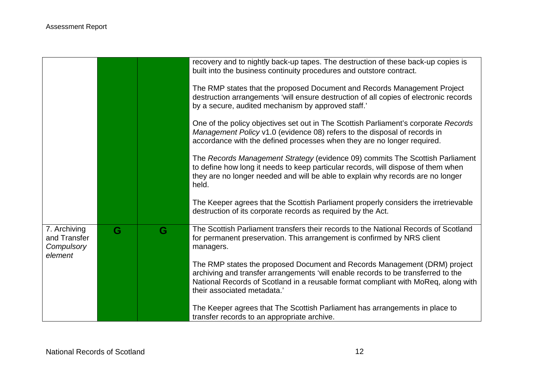|                                                       |   |   | recovery and to nightly back-up tapes. The destruction of these back-up copies is<br>built into the business continuity procedures and outstore contract.                                                                                                                           |
|-------------------------------------------------------|---|---|-------------------------------------------------------------------------------------------------------------------------------------------------------------------------------------------------------------------------------------------------------------------------------------|
|                                                       |   |   | The RMP states that the proposed Document and Records Management Project<br>destruction arrangements 'will ensure destruction of all copies of electronic records<br>by a secure, audited mechanism by approved staff.'                                                             |
|                                                       |   |   | One of the policy objectives set out in The Scottish Parliament's corporate Records<br>Management Policy v1.0 (evidence 08) refers to the disposal of records in<br>accordance with the defined processes when they are no longer required.                                         |
|                                                       |   |   | The Records Management Strategy (evidence 09) commits The Scottish Parliament<br>to define how long it needs to keep particular records, will dispose of them when<br>they are no longer needed and will be able to explain why records are no longer<br>held.                      |
|                                                       |   |   | The Keeper agrees that the Scottish Parliament properly considers the irretrievable<br>destruction of its corporate records as required by the Act.                                                                                                                                 |
| 7. Archiving<br>and Transfer<br>Compulsory<br>element | G | G | The Scottish Parliament transfers their records to the National Records of Scotland<br>for permanent preservation. This arrangement is confirmed by NRS client<br>managers.                                                                                                         |
|                                                       |   |   | The RMP states the proposed Document and Records Management (DRM) project<br>archiving and transfer arrangements 'will enable records to be transferred to the<br>National Records of Scotland in a reusable format compliant with MoReq, along with<br>their associated metadata.' |
|                                                       |   |   | The Keeper agrees that The Scottish Parliament has arrangements in place to<br>transfer records to an appropriate archive.                                                                                                                                                          |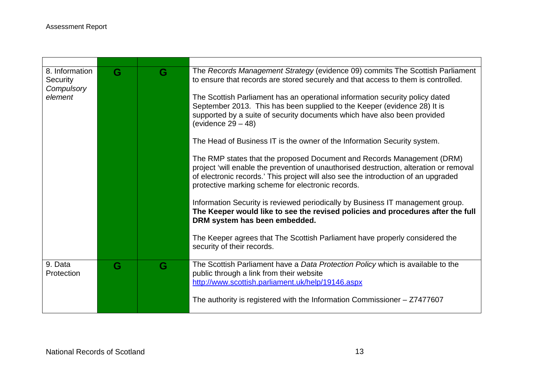T

| 8. Information<br><b>Security</b><br>Compulsory<br>element | G | G | The Records Management Strategy (evidence 09) commits The Scottish Parliament<br>to ensure that records are stored securely and that access to them is controlled.<br>The Scottish Parliament has an operational information security policy dated<br>September 2013. This has been supplied to the Keeper (evidence 28) It is<br>supported by a suite of security documents which have also been provided<br>(evidence $29 - 48$ )<br>The Head of Business IT is the owner of the Information Security system.<br>The RMP states that the proposed Document and Records Management (DRM)<br>project 'will enable the prevention of unauthorised destruction, alteration or removal<br>of electronic records.' This project will also see the introduction of an upgraded<br>protective marking scheme for electronic records. |
|------------------------------------------------------------|---|---|--------------------------------------------------------------------------------------------------------------------------------------------------------------------------------------------------------------------------------------------------------------------------------------------------------------------------------------------------------------------------------------------------------------------------------------------------------------------------------------------------------------------------------------------------------------------------------------------------------------------------------------------------------------------------------------------------------------------------------------------------------------------------------------------------------------------------------|
|                                                            |   |   | Information Security is reviewed periodically by Business IT management group.<br>The Keeper would like to see the revised policies and procedures after the full<br>DRM system has been embedded.<br>The Keeper agrees that The Scottish Parliament have properly considered the<br>security of their records.                                                                                                                                                                                                                                                                                                                                                                                                                                                                                                                |
| 9. Data<br>Protection                                      | G | G | The Scottish Parliament have a Data Protection Policy which is available to the<br>public through a link from their website<br>http://www.scottish.parliament.uk/help/19146.aspx<br>The authority is registered with the Information Commissioner $-27477607$                                                                                                                                                                                                                                                                                                                                                                                                                                                                                                                                                                  |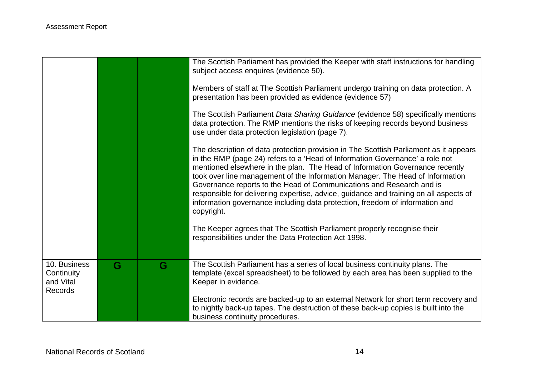|                                                           |   |   | The Scottish Parliament has provided the Keeper with staff instructions for handling<br>subject access enquires (evidence 50).                                                                                                                                                                                                                                                                                                                                                                                                                                                                        |
|-----------------------------------------------------------|---|---|-------------------------------------------------------------------------------------------------------------------------------------------------------------------------------------------------------------------------------------------------------------------------------------------------------------------------------------------------------------------------------------------------------------------------------------------------------------------------------------------------------------------------------------------------------------------------------------------------------|
|                                                           |   |   | Members of staff at The Scottish Parliament undergo training on data protection. A<br>presentation has been provided as evidence (evidence 57)                                                                                                                                                                                                                                                                                                                                                                                                                                                        |
|                                                           |   |   | The Scottish Parliament Data Sharing Guidance (evidence 58) specifically mentions<br>data protection. The RMP mentions the risks of keeping records beyond business<br>use under data protection legislation (page 7).                                                                                                                                                                                                                                                                                                                                                                                |
|                                                           |   |   | The description of data protection provision in The Scottish Parliament as it appears<br>in the RMP (page 24) refers to a 'Head of Information Governance' a role not<br>mentioned elsewhere in the plan. The Head of Information Governance recently<br>took over line management of the Information Manager. The Head of Information<br>Governance reports to the Head of Communications and Research and is<br>responsible for delivering expertise, advice, guidance and training on all aspects of<br>information governance including data protection, freedom of information and<br>copyright. |
|                                                           |   |   | The Keeper agrees that The Scottish Parliament properly recognise their<br>responsibilities under the Data Protection Act 1998.                                                                                                                                                                                                                                                                                                                                                                                                                                                                       |
| 10. Business<br>Continuity<br>and Vital<br><b>Records</b> | G | G | The Scottish Parliament has a series of local business continuity plans. The<br>template (excel spreadsheet) to be followed by each area has been supplied to the<br>Keeper in evidence.                                                                                                                                                                                                                                                                                                                                                                                                              |
|                                                           |   |   | Electronic records are backed-up to an external Network for short term recovery and<br>to nightly back-up tapes. The destruction of these back-up copies is built into the<br>business continuity procedures.                                                                                                                                                                                                                                                                                                                                                                                         |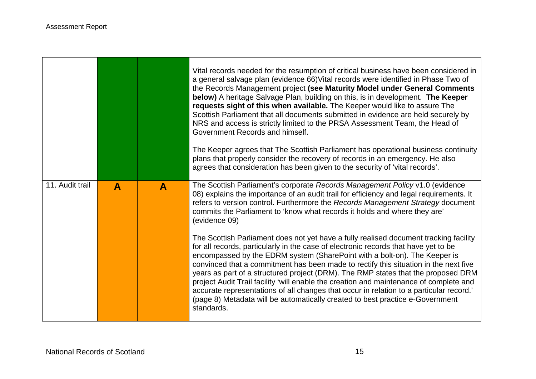$\Gamma$ 

|                 |              |              | Vital records needed for the resumption of critical business have been considered in<br>a general salvage plan (evidence 66) Vital records were identified in Phase Two of<br>the Records Management project (see Maturity Model under General Comments<br>below) A heritage Salvage Plan, building on this, is in development. The Keeper<br>requests sight of this when available. The Keeper would like to assure The<br>Scottish Parliament that all documents submitted in evidence are held securely by<br>NRS and access is strictly limited to the PRSA Assessment Team, the Head of<br>Government Records and himself.<br>The Keeper agrees that The Scottish Parliament has operational business continuity<br>plans that properly consider the recovery of records in an emergency. He also<br>agrees that consideration has been given to the security of 'vital records'. |
|-----------------|--------------|--------------|----------------------------------------------------------------------------------------------------------------------------------------------------------------------------------------------------------------------------------------------------------------------------------------------------------------------------------------------------------------------------------------------------------------------------------------------------------------------------------------------------------------------------------------------------------------------------------------------------------------------------------------------------------------------------------------------------------------------------------------------------------------------------------------------------------------------------------------------------------------------------------------|
| 11. Audit trail | $\mathbf{A}$ | $\mathbf{A}$ | The Scottish Parliament's corporate Records Management Policy v1.0 (evidence<br>08) explains the importance of an audit trail for efficiency and legal requirements. It<br>refers to version control. Furthermore the Records Management Strategy document<br>commits the Parliament to 'know what records it holds and where they are'<br>(evidence 09)                                                                                                                                                                                                                                                                                                                                                                                                                                                                                                                               |
|                 |              |              | The Scottish Parliament does not yet have a fully realised document tracking facility<br>for all records, particularly in the case of electronic records that have yet to be<br>encompassed by the EDRM system (SharePoint with a bolt-on). The Keeper is<br>convinced that a commitment has been made to rectify this situation in the next five<br>years as part of a structured project (DRM). The RMP states that the proposed DRM<br>project Audit Trail facility 'will enable the creation and maintenance of complete and<br>accurate representations of all changes that occur in relation to a particular record.'<br>(page 8) Metadata will be automatically created to best practice e-Government<br>standards.                                                                                                                                                             |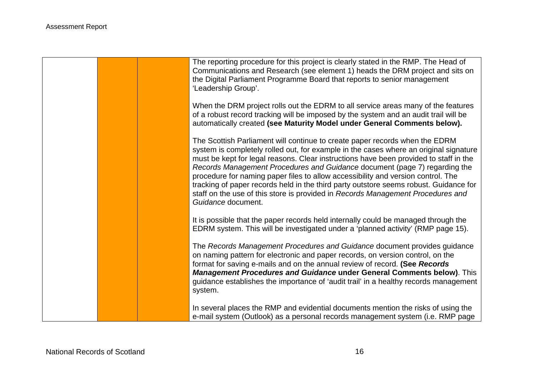|  | The reporting procedure for this project is clearly stated in the RMP. The Head of<br>Communications and Research (see element 1) heads the DRM project and sits on<br>the Digital Parliament Programme Board that reports to senior management<br>'Leadership Group'.                                                                                                                                                                                                                                                                                                                                                            |
|--|-----------------------------------------------------------------------------------------------------------------------------------------------------------------------------------------------------------------------------------------------------------------------------------------------------------------------------------------------------------------------------------------------------------------------------------------------------------------------------------------------------------------------------------------------------------------------------------------------------------------------------------|
|  | When the DRM project rolls out the EDRM to all service areas many of the features<br>of a robust record tracking will be imposed by the system and an audit trail will be<br>automatically created (see Maturity Model under General Comments below).                                                                                                                                                                                                                                                                                                                                                                             |
|  | The Scottish Parliament will continue to create paper records when the EDRM<br>system is completely rolled out, for example in the cases where an original signature<br>must be kept for legal reasons. Clear instructions have been provided to staff in the<br>Records Management Procedures and Guidance document (page 7) regarding the<br>procedure for naming paper files to allow accessibility and version control. The<br>tracking of paper records held in the third party outstore seems robust. Guidance for<br>staff on the use of this store is provided in Records Management Procedures and<br>Guidance document. |
|  | It is possible that the paper records held internally could be managed through the<br>EDRM system. This will be investigated under a 'planned activity' (RMP page 15).                                                                                                                                                                                                                                                                                                                                                                                                                                                            |
|  | The Records Management Procedures and Guidance document provides guidance<br>on naming pattern for electronic and paper records, on version control, on the<br>format for saving e-mails and on the annual review of record. (See Records<br><b>Management Procedures and Guidance under General Comments below)</b> . This<br>guidance establishes the importance of 'audit trail' in a healthy records management<br>system.                                                                                                                                                                                                    |
|  | In several places the RMP and evidential documents mention the risks of using the<br>e-mail system (Outlook) as a personal records management system (i.e. RMP page                                                                                                                                                                                                                                                                                                                                                                                                                                                               |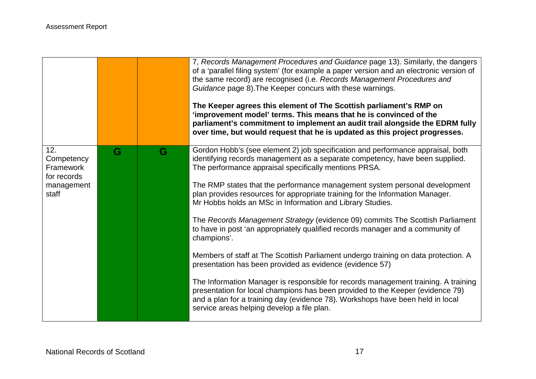|                                                                      |   |   | 7, Records Management Procedures and Guidance page 13). Similarly, the dangers<br>of a 'parallel filing system' (for example a paper version and an electronic version of<br>the same record) are recognised (i.e. Records Management Procedures and<br>Guidance page 8). The Keeper concurs with these warnings.<br>The Keeper agrees this element of The Scottish parliament's RMP on<br>'improvement model' terms. This means that he is convinced of the<br>parliament's commitment to implement an audit trail alongside the EDRM fully<br>over time, but would request that he is updated as this project progresses.                                                                                                                                                                                                                                                                                                                                                                                                                                                                      |
|----------------------------------------------------------------------|---|---|--------------------------------------------------------------------------------------------------------------------------------------------------------------------------------------------------------------------------------------------------------------------------------------------------------------------------------------------------------------------------------------------------------------------------------------------------------------------------------------------------------------------------------------------------------------------------------------------------------------------------------------------------------------------------------------------------------------------------------------------------------------------------------------------------------------------------------------------------------------------------------------------------------------------------------------------------------------------------------------------------------------------------------------------------------------------------------------------------|
| 12.<br>Competency<br>Framework<br>for records<br>management<br>staff | G | G | Gordon Hobb's (see element 2) job specification and performance appraisal, both<br>identifying records management as a separate competency, have been supplied.<br>The performance appraisal specifically mentions PRSA.<br>The RMP states that the performance management system personal development<br>plan provides resources for appropriate training for the Information Manager.<br>Mr Hobbs holds an MSc in Information and Library Studies.<br>The Records Management Strategy (evidence 09) commits The Scottish Parliament<br>to have in post 'an appropriately qualified records manager and a community of<br>champions'.<br>Members of staff at The Scottish Parliament undergo training on data protection. A<br>presentation has been provided as evidence (evidence 57)<br>The Information Manager is responsible for records management training. A training<br>presentation for local champions has been provided to the Keeper (evidence 79)<br>and a plan for a training day (evidence 78). Workshops have been held in local<br>service areas helping develop a file plan. |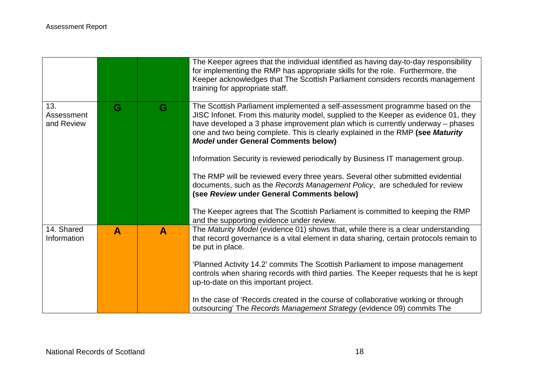|                                 |              |   | The Keeper agrees that the individual identified as having day-to-day responsibility<br>for implementing the RMP has appropriate skills for the role. Furthermore, the<br>Keeper acknowledges that The Scottish Parliament considers records management<br>training for appropriate staff.                                                                                                                                                                              |
|---------------------------------|--------------|---|-------------------------------------------------------------------------------------------------------------------------------------------------------------------------------------------------------------------------------------------------------------------------------------------------------------------------------------------------------------------------------------------------------------------------------------------------------------------------|
| 13.<br>Assessment<br>and Review | G            | G | The Scottish Parliament implemented a self-assessment programme based on the<br>JISC Infonet. From this maturity model, supplied to the Keeper as evidence 01, they<br>have developed a 3 phase improvement plan which is currently underway – phases<br>one and two being complete. This is clearly explained in the RMP (see Maturity<br><b>Model under General Comments below)</b><br>Information Security is reviewed periodically by Business IT management group. |
|                                 |              |   | The RMP will be reviewed every three years. Several other submitted evidential<br>documents, such as the Records Management Policy, are scheduled for review<br>(see Review under General Comments below)<br>The Keeper agrees that The Scottish Parliament is committed to keeping the RMP                                                                                                                                                                             |
|                                 |              |   | and the supporting evidence under review.                                                                                                                                                                                                                                                                                                                                                                                                                               |
| 14. Shared<br>Information       | $\mathbf{A}$ | A | The Maturity Model (evidence 01) shows that, while there is a clear understanding<br>that record governance is a vital element in data sharing, certain protocols remain to<br>be put in place.                                                                                                                                                                                                                                                                         |
|                                 |              |   | 'Planned Activity 14.2' commits The Scottish Parliament to impose management<br>controls when sharing records with third parties. The Keeper requests that he is kept<br>up-to-date on this important project.                                                                                                                                                                                                                                                          |
|                                 |              |   | In the case of 'Records created in the course of collaborative working or through<br>outsourcing' The Records Management Strategy (evidence 09) commits The                                                                                                                                                                                                                                                                                                             |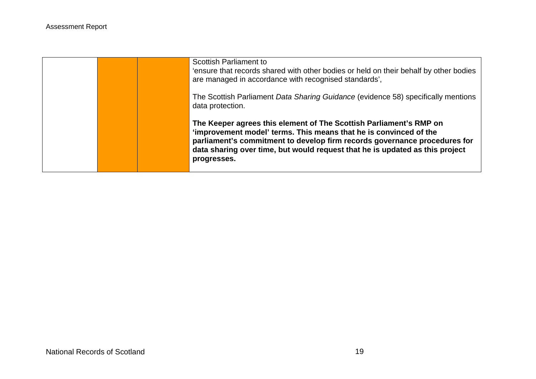|  | <b>Scottish Parliament to</b><br>'ensure that records shared with other bodies or held on their behalf by other bodies<br>are managed in accordance with recognised standards',                                                                                                                                     |
|--|---------------------------------------------------------------------------------------------------------------------------------------------------------------------------------------------------------------------------------------------------------------------------------------------------------------------|
|  | The Scottish Parliament Data Sharing Guidance (evidence 58) specifically mentions<br>data protection.                                                                                                                                                                                                               |
|  | The Keeper agrees this element of The Scottish Parliament's RMP on<br>'improvement model' terms. This means that he is convinced of the<br>parliament's commitment to develop firm records governance procedures for<br>data sharing over time, but would request that he is updated as this project<br>progresses. |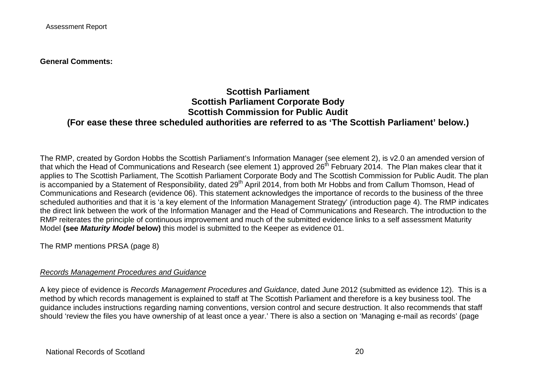**General Comments:**

### **Scottish Parliament Scottish Parliament Corporate Body Scottish Commission for Public Audit (For ease these three scheduled authorities are referred to as 'The Scottish Parliament' below.)**

The RMP, created by Gordon Hobbs the Scottish Parliament's Information Manager (see element 2), is v2.0 an amended version of that which the Head of Communications and Research (see element 1) approved 26<sup>th</sup> February 2014. The Plan makes clear that it applies to The Scottish Parliament, The Scottish Parliament Corporate Body and The Scottish Commission for Public Audit. The plan is accompanied by a Statement of Responsibility, dated 29<sup>th</sup> April 2014, from both Mr Hobbs and from Callum Thomson, Head of Communications and Research (evidence 06). This statement acknowledges the importance of records to the business of the three scheduled authorities and that it is 'a key element of the Information Management Strategy' (introduction page 4). The RMP indicates the direct link between the work of the Information Manager and the Head of Communications and Research. The introduction to the RMP reiterates the principle of continuous improvement and much of the submitted evidence links to a self assessment Maturity Model **(see** *Maturity Model* **below)** this model is submitted to the Keeper as evidence 01.

The RMP mentions PRSA (page 8)

#### *Records Management Procedures and Guidance*

A key piece of evidence is *Records Management Procedures and Guidance*, dated June 2012 (submitted as evidence 12). This is a method by which records management is explained to staff at The Scottish Parliament and therefore is a key business tool. The guidance includes instructions regarding naming conventions, version control and secure destruction. It also recommends that staff should 'review the files you have ownership of at least once a year.' There is also a section on 'Managing e-mail as records' (page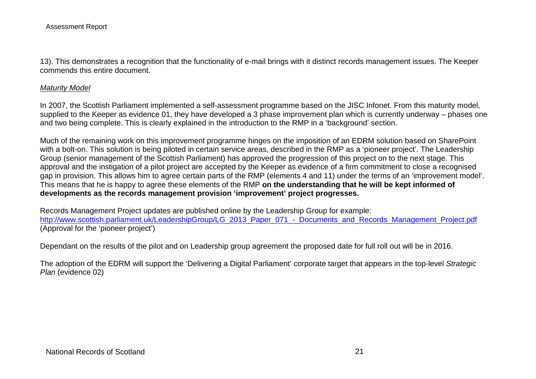13). This demonstrates a recognition that the functionality of e-mail brings with it distinct records management issues. The Keeper commends this entire document.

#### *Maturity Model*

In 2007, the Scottish Parliament implemented a self-assessment programme based on the JISC Infonet. From this maturity model, supplied to the Keeper as evidence 01, they have developed a 3 phase improvement plan which is currently underway – phases one and two being complete. This is clearly explained in the introduction to the RMP in a 'background' section.

Much of the remaining work on this improvement programme hinges on the imposition of an EDRM solution based on SharePoint with a bolt-on. This solution is being piloted in certain service areas, described in the RMP as a 'pioneer project'. The Leadership Group (senior management of the Scottish Parliament) has approved the progression of this project on to the next stage. This approval and the instigation of a pilot project are accepted by the Keeper as evidence of a firm commitment to close a recognised gap in provision. This allows him to agree certain parts of the RMP (elements 4 and 11) under the terms of an 'improvement model'. This means that he is happy to agree these elements of the RMP **on the understanding that he will be kept informed of developments as the records management provision 'improvement' project progresses.**

Records Management Project updates are published online by the Leadership Group for example: [http://www.scottish.parliament.uk/LeadershipGroup/LG\\_2013\\_Paper\\_071\\_-\\_Documents\\_and\\_Records\\_Management\\_Project.pdf](http://www.scottish.parliament.uk/LeadershipGroup/LG_2013_Paper_071_-_Documents_and_Records_Management_Project.pdf) (Approval for the 'pioneer project')

Dependant on the results of the pilot and on Leadership group agreement the proposed date for full roll out will be in 2016.

The adoption of the EDRM will support the 'Delivering a Digital Parliament' corporate target that appears in the top-level *Strategic Plan* (evidence 02)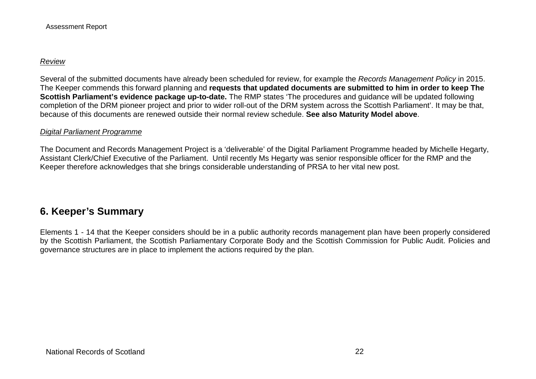#### *Review*

Several of the submitted documents have already been scheduled for review, for example the *Records Management Policy* in 2015. The Keeper commends this forward planning and **requests that updated documents are submitted to him in order to keep The Scottish Parliament's evidence package up-to-date.** The RMP states 'The procedures and guidance will be updated following completion of the DRM pioneer project and prior to wider roll-out of the DRM system across the Scottish Parliament'. It may be that, because of this documents are renewed outside their normal review schedule. **See also Maturity Model above**.

#### *Digital Parliament Programme*

The Document and Records Management Project is a 'deliverable' of the Digital Parliament Programme headed by Michelle Hegarty, Assistant Clerk/Chief Executive of the Parliament. Until recently Ms Hegarty was senior responsible officer for the RMP and the Keeper therefore acknowledges that she brings considerable understanding of PRSA to her vital new post.

# **6. Keeper's Summary**

Elements 1 - 14 that the Keeper considers should be in a public authority records management plan have been properly considered by the Scottish Parliament, the Scottish Parliamentary Corporate Body and the Scottish Commission for Public Audit. Policies and governance structures are in place to implement the actions required by the plan.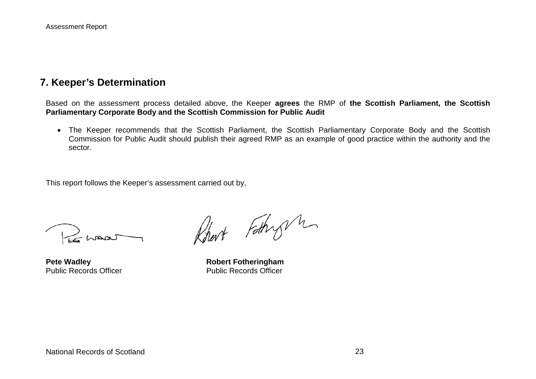### **7. Keeper's Determination**

Based on the assessment process detailed above, the Keeper **agrees** the RMP of **the Scottish Parliament, the Scottish Parliamentary Corporate Body and the Scottish Commission for Public Audit**

• The Keeper recommends that the Scottish Parliament, the Scottish Parliamentary Corporate Body and the Scottish Commission for Public Audit should publish their agreed RMP as an example of good practice within the authority and the sector.

This report follows the Keeper's assessment carried out by,

Le maar

Robert Fathry m

**Pete Wadley**<br> **Public Records Officer**<br> **Robert Fotheringham**<br> **Rublic Records Officer** Public Records Officer